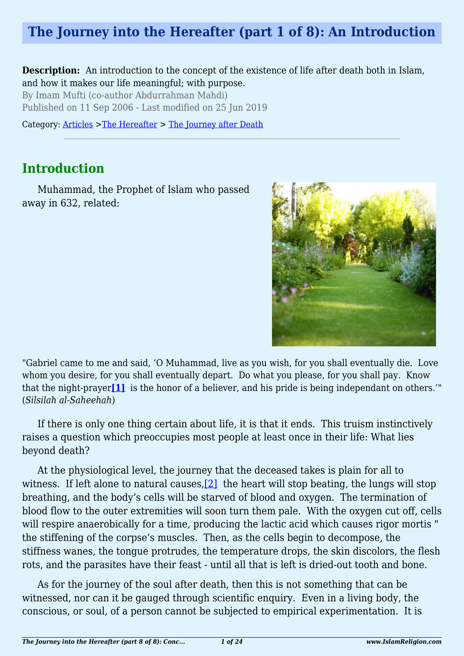# **The Journey into the Hereafter (part 1 of 8): An Introduction**

**Description:** An introduction to the concept of the existence of life after death both in Islam, and how it makes our life meaningful; with purpose.

By Imam Mufti (co-author Abdurrahman Mahdi) Published on 11 Sep 2006 - Last modified on 25 Jun 2019

Category: [Articles](http://www.islamreligion.com/articles/) >[The Hereafter](http://www.islamreligion.com/category/59/) > [The Journey after Death](http://www.islamreligion.com/category/62/)

### **Introduction**

Muhammad, the Prophet of Islam who passed away in 632, related:



<span id="page-0-0"></span>"Gabriel came to me and said, 'O Muhammad, live as you wish, for you shall eventually die. Love whom you desire, for you shall eventually depart. Do what you please, for you shall pay. Know that the night-prayer**[\[1\]](#page-2-0)** is the honor of a believer, and his pride is being independant on others.'" (*Silsilah al-Saheehah*)

If there is only one thing certain about life, it is that it ends. This truism instinctively raises a question which preoccupies most people at least once in their life: What lies beyond death?

<span id="page-0-1"></span>At the physiological level, the journey that the deceased takes is plain for all to witness. If left alone to natural causes, [2] the heart will stop beating, the lungs will stop breathing, and the body's cells will be starved of blood and oxygen. The termination of blood flow to the outer extremities will soon turn them pale. With the oxygen cut off, cells will respire anaerobically for a time, producing the lactic acid which causes rigor mortis " the stiffening of the corpse's muscles. Then, as the cells begin to decompose, the stiffness wanes, the tongue protrudes, the temperature drops, the skin discolors, the flesh rots, and the parasites have their feast - until all that is left is dried-out tooth and bone.

As for the journey of the soul after death, then this is not something that can be witnessed, nor can it be gauged through scientific enquiry. Even in a living body, the conscious, or soul, of a person cannot be subjected to empirical experimentation. It is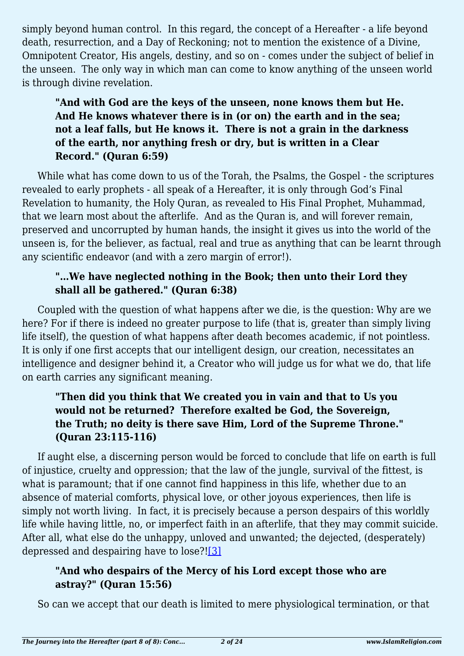simply beyond human control. In this regard, the concept of a Hereafter - a life beyond death, resurrection, and a Day of Reckoning; not to mention the existence of a Divine, Omnipotent Creator, His angels, destiny, and so on - comes under the subject of belief in the unseen. The only way in which man can come to know anything of the unseen world is through divine revelation.

### **"And with God are the keys of the unseen, none knows them but He. And He knows whatever there is in (or on) the earth and in the sea; not a leaf falls, but He knows it. There is not a grain in the darkness of the earth, nor anything fresh or dry, but is written in a Clear Record." (Quran 6:59)**

While what has come down to us of the Torah, the Psalms, the Gospel - the scriptures revealed to early prophets - all speak of a Hereafter, it is only through God's Final Revelation to humanity, the Holy Quran, as revealed to His Final Prophet, Muhammad, that we learn most about the afterlife. And as the Quran is, and will forever remain, preserved and uncorrupted by human hands, the insight it gives us into the world of the unseen is, for the believer, as factual, real and true as anything that can be learnt through any scientific endeavor (and with a zero margin of error!).

### **"…We have neglected nothing in the Book; then unto their Lord they shall all be gathered." (Quran 6:38)**

Coupled with the question of what happens after we die, is the question: Why are we here? For if there is indeed no greater purpose to life (that is, greater than simply living life itself), the question of what happens after death becomes academic, if not pointless. It is only if one first accepts that our intelligent design, our creation, necessitates an intelligence and designer behind it, a Creator who will judge us for what we do, that life on earth carries any significant meaning.

### **"Then did you think that We created you in vain and that to Us you would not be returned? Therefore exalted be God, the Sovereign, the Truth; no deity is there save Him, Lord of the Supreme Throne." (Quran 23:115-116)**

If aught else, a discerning person would be forced to conclude that life on earth is full of injustice, cruelty and oppression; that the law of the jungle, survival of the fittest, is what is paramount; that if one cannot find happiness in this life, whether due to an absence of material comforts, physical love, or other joyous experiences, then life is simply not worth living. In fact, it is precisely because a person despairs of this worldly life while having little, no, or imperfect faith in an afterlife, that they may commit suicide. After all, what else do the unhappy, unloved and unwanted; the dejected, (desperately) depressed and despairing have to lose?[!\[3\]](#page-2-2)

### <span id="page-1-0"></span>**"And who despairs of the Mercy of his Lord except those who are astray?" (Quran 15:56)**

So can we accept that our death is limited to mere physiological termination, or that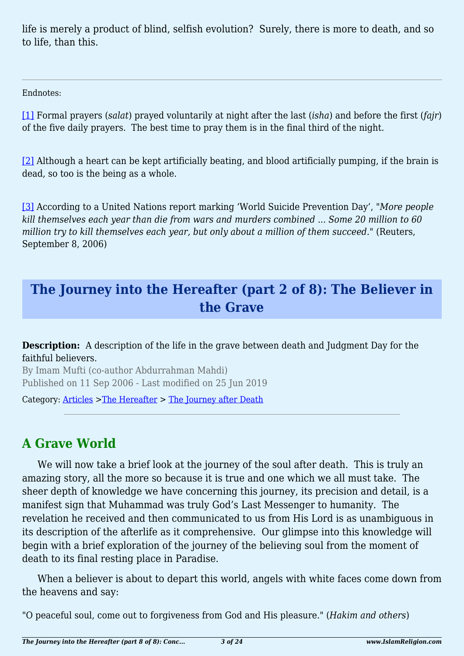life is merely a product of blind, selfish evolution? Surely, there is more to death, and so to life, than this.

Endnotes:

<span id="page-2-0"></span>[\[1\]](#page-0-0) Formal prayers (*salat*) prayed voluntarily at night after the last (*isha*) and before the first (*fajr*) of the five daily prayers. The best time to pray them is in the final third of the night.

<span id="page-2-1"></span>[\[2\]](#page-0-1) Although a heart can be kept artificially beating, and blood artificially pumping, if the brain is dead, so too is the being as a whole.

<span id="page-2-2"></span>[\[3\]](#page-1-0) According to a United Nations report marking 'World Suicide Prevention Day', "*More people kill themselves each year than die from wars and murders combined ... Some 20 million to 60 million try to kill themselves each year, but only about a million of them succeed.*" (Reuters, September 8, 2006)

## **The Journey into the Hereafter (part 2 of 8): The Believer in the Grave**

**Description:** A description of the life in the grave between death and Judgment Day for the faithful believers.

By Imam Mufti (co-author Abdurrahman Mahdi) Published on 11 Sep 2006 - Last modified on 25 Jun 2019

Category: [Articles](http://www.islamreligion.com/articles/) >[The Hereafter](http://www.islamreligion.com/category/59/) > [The Journey after Death](http://www.islamreligion.com/category/62/)

# **A Grave World**

We will now take a brief look at the journey of the soul after death. This is truly an amazing story, all the more so because it is true and one which we all must take. The sheer depth of knowledge we have concerning this journey, its precision and detail, is a manifest sign that Muhammad was truly God's Last Messenger to humanity. The revelation he received and then communicated to us from His Lord is as unambiguous in its description of the afterlife as it comprehensive. Our glimpse into this knowledge will begin with a brief exploration of the journey of the believing soul from the moment of death to its final resting place in Paradise.

When a believer is about to depart this world, angels with white faces come down from the heavens and say:

"O peaceful soul, come out to forgiveness from God and His pleasure." (*Hakim and others*)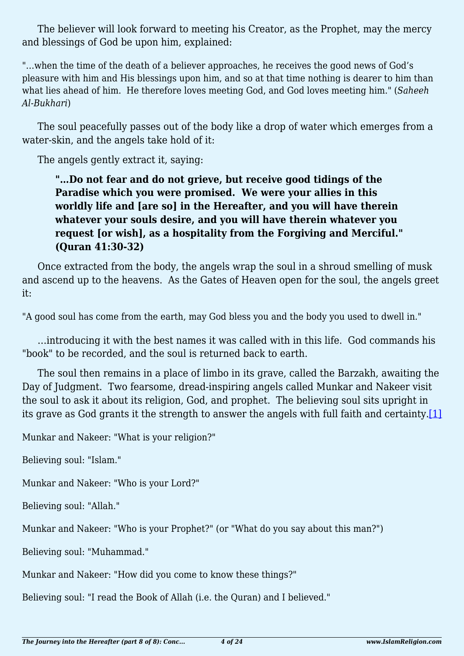The believer will look forward to meeting his Creator, as the Prophet, may the mercy and blessings of God be upon him, explained:

"…when the time of the death of a believer approaches, he receives the good news of God's pleasure with him and His blessings upon him, and so at that time nothing is dearer to him than what lies ahead of him. He therefore loves meeting God, and God loves meeting him." (*Saheeh Al-Bukhari*)

The soul peacefully passes out of the body like a drop of water which emerges from a water-skin, and the angels take hold of it:

The angels gently extract it, saying:

**"…Do not fear and do not grieve, but receive good tidings of the Paradise which you were promised. We were your allies in this worldly life and [are so] in the Hereafter, and you will have therein whatever your souls desire, and you will have therein whatever you request [or wish], as a hospitality from the Forgiving and Merciful." (Quran 41:30-32)**

Once extracted from the body, the angels wrap the soul in a shroud smelling of musk and ascend up to the heavens. As the Gates of Heaven open for the soul, the angels greet it:

"A good soul has come from the earth, may God bless you and the body you used to dwell in."

…introducing it with the best names it was called with in this life. God commands his "book" to be recorded, and the soul is returned back to earth.

The soul then remains in a place of limbo in its grave, called the Barzakh, awaiting the Day of Judgment. Two fearsome, dread-inspiring angels called Munkar and Nakeer visit the soul to ask it about its religion, God, and prophet. The believing soul sits upright in its grave as God grants it the strength to answer the angels with full faith and certainty.<sup>[1]</sup>

<span id="page-3-0"></span>Munkar and Nakeer: "What is your religion?"

Believing soul: "Islam."

Munkar and Nakeer: "Who is your Lord?"

Believing soul: "Allah."

Munkar and Nakeer: "Who is your Prophet?" (or "What do you say about this man?")

Believing soul: "Muhammad."

Munkar and Nakeer: "How did you come to know these things?"

Believing soul: "I read the Book of Allah (i.e. the Quran) and I believed."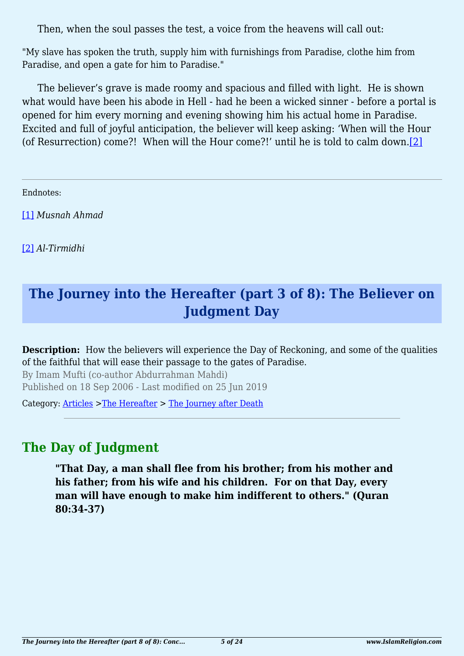Then, when the soul passes the test, a voice from the heavens will call out:

"My slave has spoken the truth, supply him with furnishings from Paradise, clothe him from Paradise, and open a gate for him to Paradise."

The believer's grave is made roomy and spacious and filled with light. He is shown what would have been his abode in Hell - had he been a wicked sinner - before a portal is opened for him every morning and evening showing him his actual home in Paradise. Excited and full of joyful anticipation, the believer will keep asking: 'When will the Hour (of Resurrection) come?! When will the Hour come?!' until he is told to calm down[.\[2\]](#page-4-1)

<span id="page-4-2"></span><span id="page-4-0"></span>Endnotes:

[\[1\]](#page-3-0) *Musnah Ahmad*

<span id="page-4-1"></span>[\[2\]](#page-4-2) *Al-Tirmidhi*

# **The Journey into the Hereafter (part 3 of 8): The Believer on Judgment Day**

**Description:** How the believers will experience the Day of Reckoning, and some of the qualities of the faithful that will ease their passage to the gates of Paradise.

By Imam Mufti (co-author Abdurrahman Mahdi) Published on 18 Sep 2006 - Last modified on 25 Jun 2019

Category: [Articles](http://www.islamreligion.com/articles/) >[The Hereafter](http://www.islamreligion.com/category/59/) > [The Journey after Death](http://www.islamreligion.com/category/62/)

### **The Day of Judgment**

**"That Day, a man shall flee from his brother; from his mother and his father; from his wife and his children. For on that Day, every man will have enough to make him indifferent to others." (Quran 80:34-37)**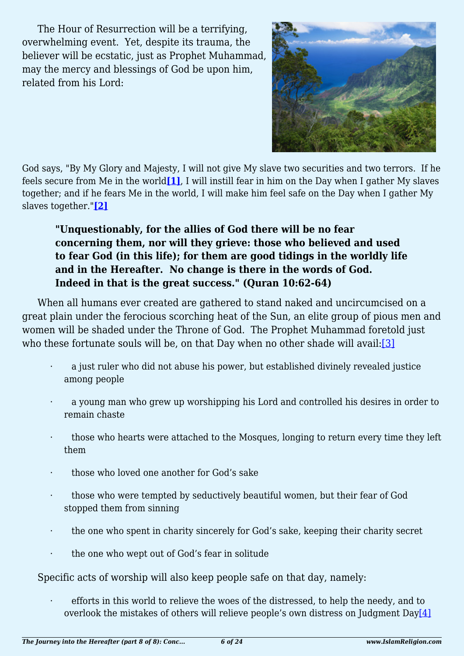The Hour of Resurrection will be a terrifying, overwhelming event. Yet, despite its trauma, the believer will be ecstatic, just as Prophet Muhammad, may the mercy and blessings of God be upon him, related from his Lord:



<span id="page-5-1"></span><span id="page-5-0"></span>God says, "By My Glory and Majesty, I will not give My slave two securities and two terrors. If he feels secure from Me in the world**[\[1\]](#page-7-0)**, I will instill fear in him on the Day when I gather My slaves together; and if he fears Me in the world, I will make him feel safe on the Day when I gather My slaves together."**[\[2\]](#page-7-1)**

### **"Unquestionably, for the allies of God there will be no fear concerning them, nor will they grieve: those who believed and used to fear God (in this life); for them are good tidings in the worldly life and in the Hereafter. No change is there in the words of God. Indeed in that is the great success." (Quran 10:62-64)**

<span id="page-5-2"></span>When all humans ever created are gathered to stand naked and uncircumcised on a great plain under the ferocious scorching heat of the Sun, an elite group of pious men and women will be shaded under the Throne of God. The Prophet Muhammad foretold just who these fortunate souls will be, on that Day when no other shade will avail:[\[3\]](#page-7-2)

- a just ruler who did not abuse his power, but established divinely revealed justice among people
- a young man who grew up worshipping his Lord and controlled his desires in order to remain chaste
- those who hearts were attached to the Mosques, longing to return every time they left them
- · those who loved one another for God's sake
- · those who were tempted by seductively beautiful women, but their fear of God stopped them from sinning
- · the one who spent in charity sincerely for God's sake, keeping their charity secret
- the one who wept out of God's fear in solitude

Specific acts of worship will also keep people safe on that day, namely:

<span id="page-5-4"></span><span id="page-5-3"></span>efforts in this world to relieve the woes of the distressed, to help the needy, and to overlook the mistakes of others will relieve people's own distress on Judgment Day[\[4\]](#page-7-3)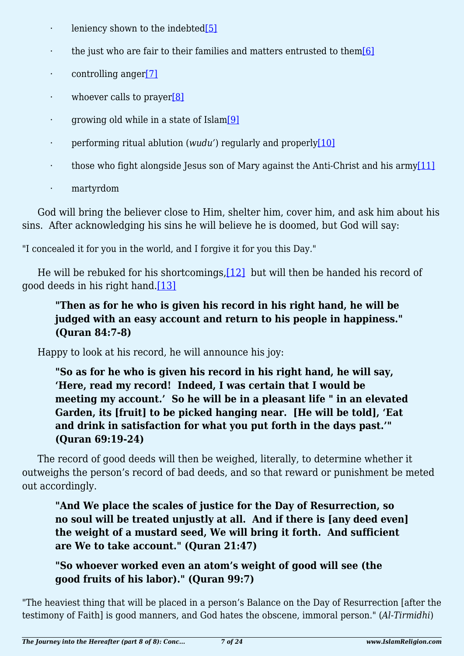- · leniency shown to the indebte[d\[5\]](#page-7-4)
- <span id="page-6-0"></span> $\cdot$  the just who are fair to their families and matters entrusted to the[m\[6\]](#page-7-5)
- <span id="page-6-1"></span> $\cdot$  controlling anger<sup>[\[7\]](#page-7-6)</sup>
- <span id="page-6-2"></span>· whoever calls to prayer[\[8\]](#page-7-7)
- <span id="page-6-3"></span>· growing old while in a state of Islam[\[9\]](#page-7-8)
- <span id="page-6-4"></span>· performing ritual ablution (*wudu'*) regularly and properly[\[10\]](#page-8-0)
- <span id="page-6-5"></span> $\cdot$  those who fight alongside Jesus son of Mary against the Anti-Christ and his army $[11]$
- · martyrdom

God will bring the believer close to Him, shelter him, cover him, and ask him about his sins. After acknowledging his sins he will believe he is doomed, but God will say:

"I concealed it for you in the world, and I forgive it for you this Day."

<span id="page-6-7"></span><span id="page-6-6"></span>He will be rebuked for his shortcomings,[\[12\]](#page-8-2) but will then be handed his record of good deeds in his right hand.[\[13\]](#page-8-3)

### **"Then as for he who is given his record in his right hand, he will be judged with an easy account and return to his people in happiness." (Quran 84:7-8)**

Happy to look at his record, he will announce his joy:

**"So as for he who is given his record in his right hand, he will say, 'Here, read my record! Indeed, I was certain that I would be meeting my account.' So he will be in a pleasant life " in an elevated Garden, its [fruit] to be picked hanging near. [He will be told], 'Eat and drink in satisfaction for what you put forth in the days past.'" (Quran 69:19-24)**

The record of good deeds will then be weighed, literally, to determine whether it outweighs the person's record of bad deeds, and so that reward or punishment be meted out accordingly.

**"And We place the scales of justice for the Day of Resurrection, so no soul will be treated unjustly at all. And if there is [any deed even] the weight of a mustard seed, We will bring it forth. And sufficient are We to take account." (Quran 21:47)**

**"So whoever worked even an atom's weight of good will see (the good fruits of his labor)." (Quran 99:7)**

"The heaviest thing that will be placed in a person's Balance on the Day of Resurrection [after the testimony of Faith] is good manners, and God hates the obscene, immoral person." (*Al-Tirmidhi*)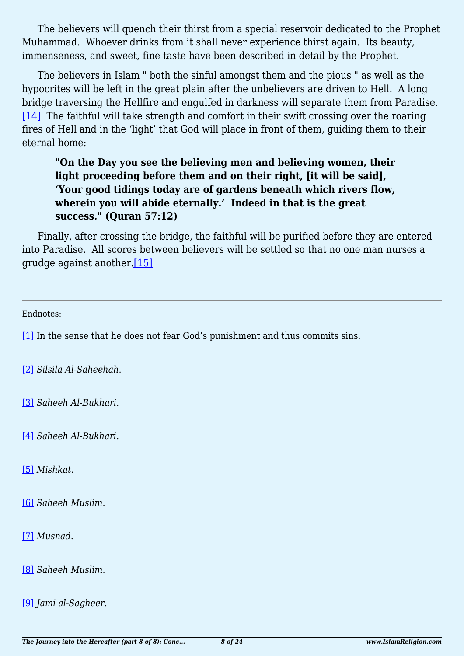The believers will quench their thirst from a special reservoir dedicated to the Prophet Muhammad. Whoever drinks from it shall never experience thirst again. Its beauty, immenseness, and sweet, fine taste have been described in detail by the Prophet.

<span id="page-7-9"></span>The believers in Islam " both the sinful amongst them and the pious " as well as the hypocrites will be left in the great plain after the unbelievers are driven to Hell. A long bridge traversing the Hellfire and engulfed in darkness will separate them from Paradise. [\[14\]](#page-8-4) The faithful will take strength and comfort in their swift crossing over the roaring fires of Hell and in the 'light' that God will place in front of them, guiding them to their eternal home:

### **"On the Day you see the believing men and believing women, their light proceeding before them and on their right, [it will be said], 'Your good tidings today are of gardens beneath which rivers flow, wherein you will abide eternally.' Indeed in that is the great success." (Quran 57:12)**

<span id="page-7-10"></span>Finally, after crossing the bridge, the faithful will be purified before they are entered into Paradise. All scores between believers will be settled so that no one man nurses a grudge against another.[\[15\]](#page-8-5)

<span id="page-7-0"></span>Endnotes:

[\[1\]](#page-5-0) In the sense that he does not fear God's punishment and thus commits sins.

<span id="page-7-1"></span>[\[2\]](#page-5-1) *Silsila Al-Saheehah*.

<span id="page-7-2"></span>[\[3\]](#page-5-2) *Saheeh Al-Bukhari*.

<span id="page-7-3"></span>[\[4\]](#page-5-3) *Saheeh Al-Bukhari*.

<span id="page-7-4"></span>[\[5\]](#page-5-4) *Mishkat*.

<span id="page-7-5"></span>[\[6\]](#page-6-0) *Saheeh Muslim*.

<span id="page-7-6"></span>[\[7\]](#page-6-1) *Musnad*.

<span id="page-7-7"></span>[\[8\]](#page-6-2) *Saheeh Muslim*.

<span id="page-7-8"></span>[\[9\]](#page-6-3) *Jami al-Sagheer*.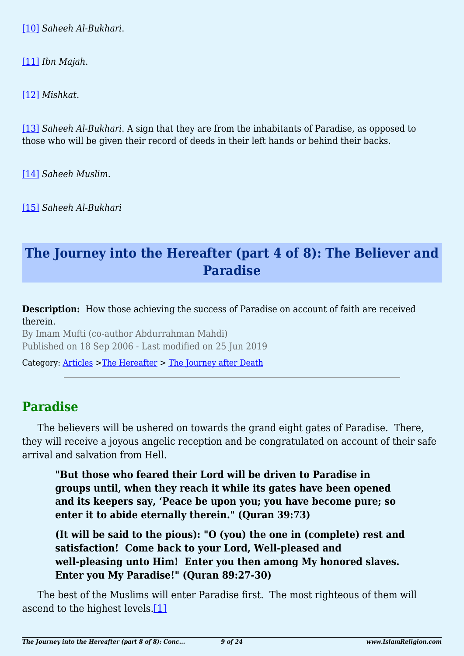<span id="page-8-0"></span>[\[10\]](#page-6-4) *Saheeh Al-Bukhari*.

<span id="page-8-1"></span>[\[11\]](#page-6-5) *Ibn Majah*.

<span id="page-8-2"></span>[\[12\]](#page-6-6) *Mishkat*.

<span id="page-8-3"></span>[\[13\]](#page-6-7) *Saheeh Al-Bukhari*. A sign that they are from the inhabitants of Paradise, as opposed to those who will be given their record of deeds in their left hands or behind their backs.

<span id="page-8-4"></span>[\[14\]](#page-7-9) *Saheeh Muslim*.

<span id="page-8-5"></span>[\[15\]](#page-7-10) *Saheeh Al-Bukhari*

### **The Journey into the Hereafter (part 4 of 8): The Believer and Paradise**

**Description:** How those achieving the success of Paradise on account of faith are received therein.

By Imam Mufti (co-author Abdurrahman Mahdi) Published on 18 Sep 2006 - Last modified on 25 Jun 2019

Category: [Articles](http://www.islamreligion.com/articles/) >[The Hereafter](http://www.islamreligion.com/category/59/) > [The Journey after Death](http://www.islamreligion.com/category/62/)

### **Paradise**

The believers will be ushered on towards the grand eight gates of Paradise. There, they will receive a joyous angelic reception and be congratulated on account of their safe arrival and salvation from Hell.

**"But those who feared their Lord will be driven to Paradise in groups until, when they reach it while its gates have been opened and its keepers say, 'Peace be upon you; you have become pure; so enter it to abide eternally therein." (Quran 39:73)**

**(It will be said to the pious): "O (you) the one in (complete) rest and satisfaction! Come back to your Lord, Well-pleased and well-pleasing unto Him! Enter you then among My honored slaves. Enter you My Paradise!" (Quran 89:27-30)**

<span id="page-8-6"></span>The best of the Muslims will enter Paradise first. The most righteous of them will ascend to the highest levels[.\[1\]](#page-10-0)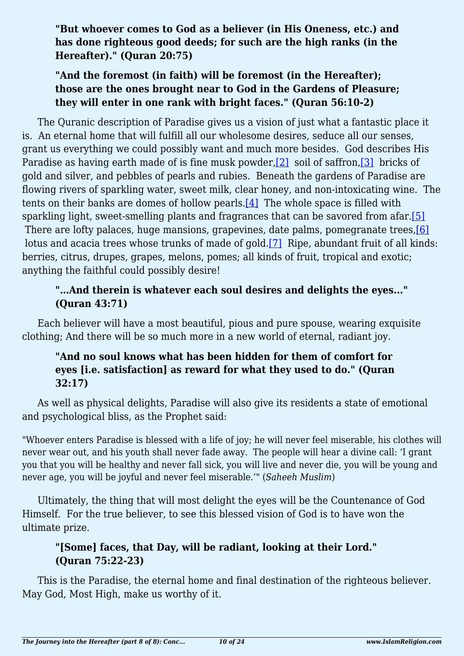**"But whoever comes to God as a believer (in His Oneness, etc.) and has done righteous good deeds; for such are the high ranks (in the Hereafter)." (Quran 20:75)**

### **"And the foremost (in faith) will be foremost (in the Hereafter); those are the ones brought near to God in the Gardens of Pleasure; they will enter in one rank with bright faces." (Quran 56:10-2)**

<span id="page-9-1"></span><span id="page-9-0"></span>The Quranic description of Paradise gives us a vision of just what a fantastic place it is. An eternal home that will fulfill all our wholesome desires, seduce all our senses, grant us everything we could possibly want and much more besides. God describes His Paradise as having earth made of is fine musk powder, [\[2\]](#page-10-1) soil of saffron, [\[3\]](#page-10-2) bricks of gold and silver, and pebbles of pearls and rubies. Beneath the gardens of Paradise are flowing rivers of sparkling water, sweet milk, clear honey, and non-intoxicating wine. The tents on their banks are domes of hollow pearls.[\[4\]](#page-10-3) The whole space is filled with sparkling light, sweet-smelling plants and fragrances that can be savored from afar[.\[5\]](#page-10-4) There are lofty palaces, huge mansions, grapevines, date palms, pomegranate trees, [\[6\]](#page-10-5) lotus and acacia trees whose trunks of made of gold[.\[7\]](#page-10-6) Ripe, abundant fruit of all kinds: berries, citrus, drupes, grapes, melons, pomes; all kinds of fruit, tropical and exotic; anything the faithful could possibly desire!

### <span id="page-9-4"></span><span id="page-9-3"></span><span id="page-9-2"></span>**"…And therein is whatever each soul desires and delights the eyes..." (Quran 43:71)**

Each believer will have a most beautiful, pious and pure spouse, wearing exquisite clothing; And there will be so much more in a new world of eternal, radiant joy.

### **"And no soul knows what has been hidden for them of comfort for eyes [i.e. satisfaction] as reward for what they used to do." (Quran 32:17)**

As well as physical delights, Paradise will also give its residents a state of emotional and psychological bliss, as the Prophet said:

"Whoever enters Paradise is blessed with a life of joy; he will never feel miserable, his clothes will never wear out, and his youth shall never fade away. The people will hear a divine call: 'I grant you that you will be healthy and never fall sick, you will live and never die, you will be young and never age, you will be joyful and never feel miserable.'" (*Saheeh Muslim*)

Ultimately, the thing that will most delight the eyes will be the Countenance of God Himself. For the true believer, to see this blessed vision of God is to have won the ultimate prize.

### **"[Some] faces, that Day, will be radiant, looking at their Lord." (Quran 75:22-23)**

This is the Paradise, the eternal home and final destination of the righteous believer. May God, Most High, make us worthy of it.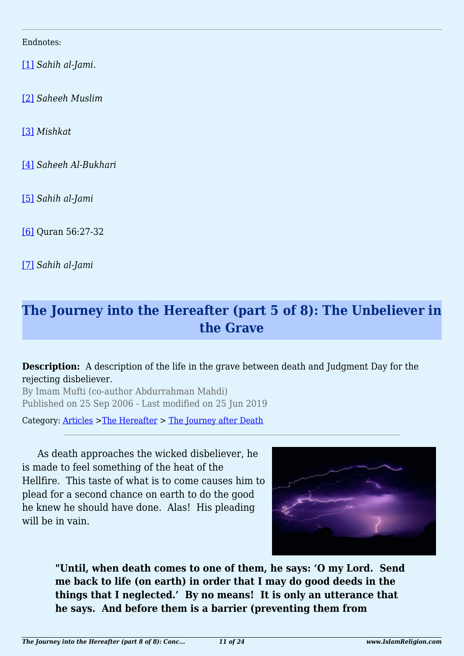<span id="page-10-0"></span>Endnotes:

[\[1\]](#page-8-6) *Sahih al-Jami*.

<span id="page-10-1"></span>[\[2\]](#page-9-0) *Saheeh Muslim*

<span id="page-10-2"></span>[\[3\]](#page-9-0) *Mishkat*

<span id="page-10-3"></span>[\[4\]](#page-9-1) *Saheeh Al-Bukhari*

<span id="page-10-4"></span>[\[5\]](#page-9-2) *Sahih al-Jami*

<span id="page-10-5"></span>[\[6\]](#page-9-3) Quran 56:27-32

<span id="page-10-6"></span>[\[7\]](#page-9-4) *Sahih al-Jami*

# **The Journey into the Hereafter (part 5 of 8): The Unbeliever in the Grave**

#### **Description:** A description of the life in the grave between death and Judgment Day for the rejecting disbeliever.

By Imam Mufti (co-author Abdurrahman Mahdi) Published on 25 Sep 2006 - Last modified on 25 Jun 2019

Category: [Articles](http://www.islamreligion.com/articles/) >[The Hereafter](http://www.islamreligion.com/category/59/) > [The Journey after Death](http://www.islamreligion.com/category/62/)

As death approaches the wicked disbeliever, he is made to feel something of the heat of the Hellfire. This taste of what is to come causes him to plead for a second chance on earth to do the good he knew he should have done. Alas! His pleading will be in vain.



**"Until, when death comes to one of them, he says: 'O my Lord. Send me back to life (on earth) in order that I may do good deeds in the things that I neglected.' By no means! It is only an utterance that he says. And before them is a barrier (preventing them from**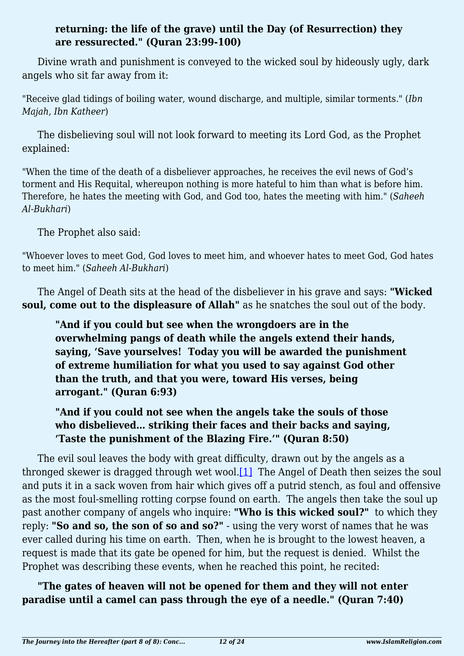### **returning: the life of the grave) until the Day (of Resurrection) they are ressurected." (Quran 23:99-100)**

Divine wrath and punishment is conveyed to the wicked soul by hideously ugly, dark angels who sit far away from it:

"Receive glad tidings of boiling water, wound discharge, and multiple, similar torments." (*Ibn Majah, Ibn Katheer*)

The disbelieving soul will not look forward to meeting its Lord God, as the Prophet explained:

"When the time of the death of a disbeliever approaches, he receives the evil news of God's torment and His Requital, whereupon nothing is more hateful to him than what is before him. Therefore, he hates the meeting with God, and God too, hates the meeting with him." (*Saheeh Al-Bukhari*)

The Prophet also said:

"Whoever loves to meet God, God loves to meet him, and whoever hates to meet God, God hates to meet him." (*Saheeh Al-Bukhari*)

The Angel of Death sits at the head of the disbeliever in his grave and says: **"Wicked soul, come out to the displeasure of Allah"** as he snatches the soul out of the body.

**"And if you could but see when the wrongdoers are in the overwhelming pangs of death while the angels extend their hands, saying, 'Save yourselves! Today you will be awarded the punishment of extreme humiliation for what you used to say against God other than the truth, and that you were, toward His verses, being arrogant." (Quran 6:93)**

**"And if you could not see when the angels take the souls of those who disbelieved… striking their faces and their backs and saying, 'Taste the punishment of the Blazing Fire.'" (Quran 8:50)**

<span id="page-11-0"></span>The evil soul leaves the body with great difficulty, drawn out by the angels as a thronged skewer is dragged through wet wool. $[1]$  The Angel of Death then seizes the soul and puts it in a sack woven from hair which gives off a putrid stench, as foul and offensive as the most foul-smelling rotting corpse found on earth. The angels then take the soul up past another company of angels who inquire: **"Who is this wicked soul?"** to which they reply: **"So and so, the son of so and so?"** - using the very worst of names that he was ever called during his time on earth. Then, when he is brought to the lowest heaven, a request is made that its gate be opened for him, but the request is denied. Whilst the Prophet was describing these events, when he reached this point, he recited:

**"The gates of heaven will not be opened for them and they will not enter paradise until a camel can pass through the eye of a needle." (Quran 7:40)**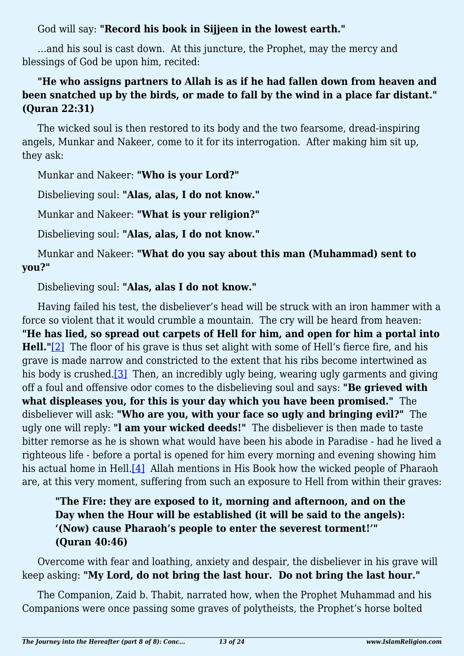God will say: **"Record his book in Sijjeen in the lowest earth."**

…and his soul is cast down. At this juncture, the Prophet, may the mercy and blessings of God be upon him, recited:

### **"He who assigns partners to Allah is as if he had fallen down from heaven and been snatched up by the birds, or made to fall by the wind in a place far distant." (Quran 22:31)**

The wicked soul is then restored to its body and the two fearsome, dread-inspiring angels, Munkar and Nakeer, come to it for its interrogation. After making him sit up, they ask:

Munkar and Nakeer: **"Who is your Lord?"**

Disbelieving soul: **"Alas, alas, I do not know."**

Munkar and Nakeer: **"What is your religion?"**

Disbelieving soul: **"Alas, alas, I do not know."**

Munkar and Nakeer: **"What do you say about this man (Muhammad) sent to you?"**

Disbelieving soul: **"Alas, alas I do not know."**

<span id="page-12-1"></span><span id="page-12-0"></span>Having failed his test, the disbeliever's head will be struck with an iron hammer with a force so violent that it would crumble a mountain. The cry will be heard from heaven: **"He has lied, so spread out carpets of Hell for him, and open for him a portal into Hell."**[\[2\]](#page-13-1) The floor of his grave is thus set alight with some of Hell's fierce fire, and his grave is made narrow and constricted to the extent that his ribs become intertwined as his body is crushed.<sup>[3]</sup> Then, an incredibly ugly being, wearing ugly garments and giving off a foul and offensive odor comes to the disbelieving soul and says: **"Be grieved with what displeases you, for this is your day which you have been promised."** The disbeliever will ask: **"Who are you, with your face so ugly and bringing evil?"** The ugly one will reply: **"l am your wicked deeds!"** The disbeliever is then made to taste bitter remorse as he is shown what would have been his abode in Paradise - had he lived a righteous life - before a portal is opened for him every morning and evening showing him his actual home in Hell.<sup>[4]</sup> Allah mentions in His Book how the wicked people of Pharaoh are, at this very moment, suffering from such an exposure to Hell from within their graves:

### <span id="page-12-2"></span>**"The Fire: they are exposed to it, morning and afternoon, and on the Day when the Hour will be established (it will be said to the angels): '(Now) cause Pharaoh's people to enter the severest torment!'" (Quran 40:46)**

Overcome with fear and loathing, anxiety and despair, the disbeliever in his grave will keep asking: **"My Lord, do not bring the last hour. Do not bring the last hour."**

The Companion, Zaid b. Thabit, narrated how, when the Prophet Muhammad and his Companions were once passing some graves of polytheists, the Prophet's horse bolted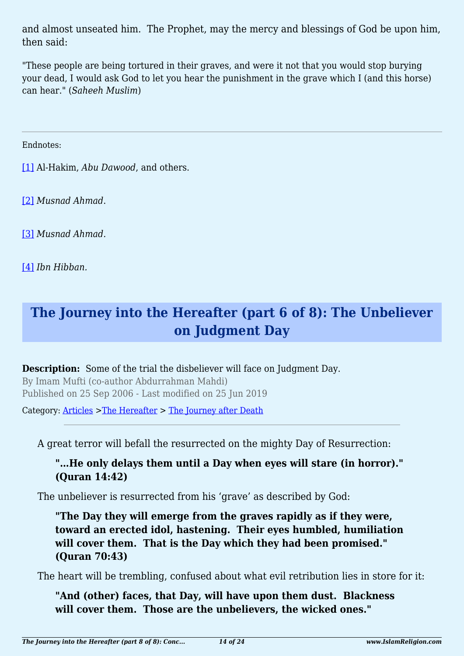and almost unseated him. The Prophet, may the mercy and blessings of God be upon him, then said:

"These people are being tortured in their graves, and were it not that you would stop burying your dead, I would ask God to let you hear the punishment in the grave which I (and this horse) can hear." (*Saheeh Muslim*)

<span id="page-13-0"></span>Endnotes:

[\[1\]](#page-11-0) Al-Hakim, *Abu Dawood*, and others.

<span id="page-13-1"></span>[\[2\]](#page-12-0) *Musnad Ahmad*.

<span id="page-13-2"></span>[\[3\]](#page-12-1) *Musnad Ahmad.*

<span id="page-13-3"></span>[\[4\]](#page-12-2) *Ibn Hibban.*

# **The Journey into the Hereafter (part 6 of 8): The Unbeliever on Judgment Day**

**Description:** Some of the trial the disbeliever will face on Judgment Day. By Imam Mufti (co-author Abdurrahman Mahdi) Published on 25 Sep 2006 - Last modified on 25 Jun 2019

Category: [Articles](http://www.islamreligion.com/articles/) >[The Hereafter](http://www.islamreligion.com/category/59/) > [The Journey after Death](http://www.islamreligion.com/category/62/)

A great terror will befall the resurrected on the mighty Day of Resurrection:

### **"…He only delays them until a Day when eyes will stare (in horror)." (Quran 14:42)**

The unbeliever is resurrected from his 'grave' as described by God:

**"The Day they will emerge from the graves rapidly as if they were, toward an erected idol, hastening. Their eyes humbled, humiliation will cover them. That is the Day which they had been promised." (Quran 70:43)**

The heart will be trembling, confused about what evil retribution lies in store for it:

**"And (other) faces, that Day, will have upon them dust. Blackness will cover them. Those are the unbelievers, the wicked ones."**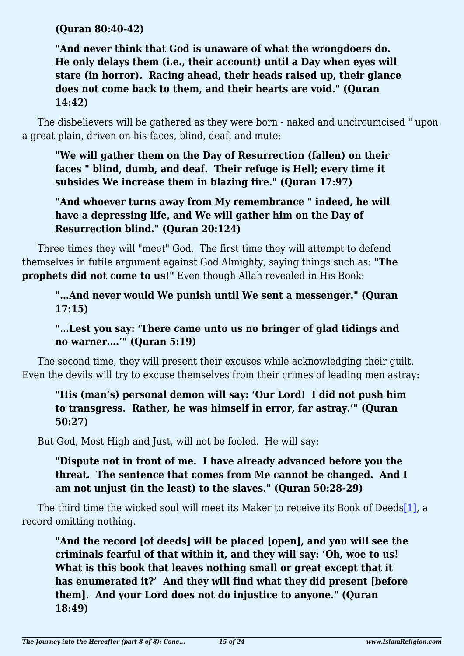**(Quran 80:40-42)**

**"And never think that God is unaware of what the wrongdoers do. He only delays them (i.e., their account) until a Day when eyes will stare (in horror). Racing ahead, their heads raised up, their glance does not come back to them, and their hearts are void." (Quran 14:42)**

The disbelievers will be gathered as they were born - naked and uncircumcised " upon a great plain, driven on his faces, blind, deaf, and mute:

**"We will gather them on the Day of Resurrection (fallen) on their faces " blind, dumb, and deaf. Their refuge is Hell; every time it subsides We increase them in blazing fire." (Quran 17:97)**

**"And whoever turns away from My remembrance " indeed, he will have a depressing life, and We will gather him on the Day of Resurrection blind." (Quran 20:124)**

Three times they will "meet" God. The first time they will attempt to defend themselves in futile argument against God Almighty, saying things such as: **"The prophets did not come to us!"** Even though Allah revealed in His Book:

**"…And never would We punish until We sent a messenger." (Quran 17:15)**

**"…Lest you say: 'There came unto us no bringer of glad tidings and no warner….'" (Quran 5:19)**

The second time, they will present their excuses while acknowledging their guilt. Even the devils will try to excuse themselves from their crimes of leading men astray:

**"His (man's) personal demon will say: 'Our Lord! I did not push him to transgress. Rather, he was himself in error, far astray.'" (Quran 50:27)**

But God, Most High and Just, will not be fooled. He will say:

**"Dispute not in front of me. I have already advanced before you the threat. The sentence that comes from Me cannot be changed. And I am not unjust (in the least) to the slaves." (Quran 50:28-29)**

<span id="page-14-0"></span>The third time the wicked soul will meet its Maker to receive its Book of Deed[s\[1\],](#page-17-0) a record omitting nothing.

**"And the record [of deeds] will be placed [open], and you will see the criminals fearful of that within it, and they will say: 'Oh, woe to us! What is this book that leaves nothing small or great except that it has enumerated it?' And they will find what they did present [before them]. And your Lord does not do injustice to anyone." (Quran 18:49)**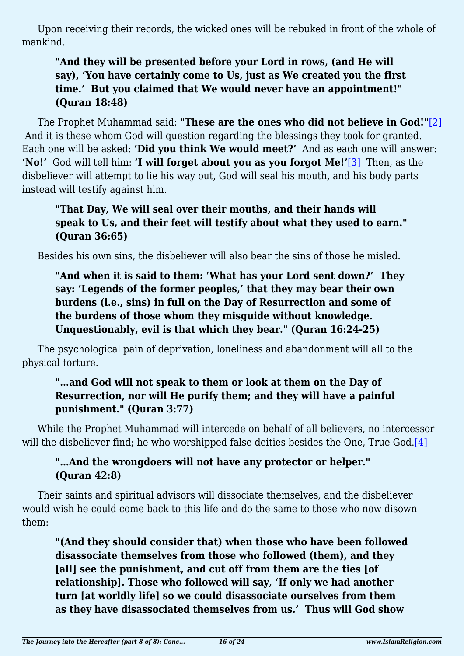Upon receiving their records, the wicked ones will be rebuked in front of the whole of mankind.

### **"And they will be presented before your Lord in rows, (and He will say), 'You have certainly come to Us, just as We created you the first time.' But you claimed that We would never have an appointment!" (Quran 18:48)**

<span id="page-15-1"></span><span id="page-15-0"></span>The Prophet Muhammad said: **"These are the ones who did not believe in God!"**[\[2\]](#page-17-1) And it is these whom God will question regarding the blessings they took for granted. Each one will be asked: **'Did you think We would meet?'** And as each one will answer: **'No!'** God will tell him: **'I will forget about you as you forgot Me!'**[\[3\]](#page-17-2) Then, as the disbeliever will attempt to lie his way out, God will seal his mouth, and his body parts instead will testify against him.

### **"That Day, We will seal over their mouths, and their hands will speak to Us, and their feet will testify about what they used to earn." (Quran 36:65)**

Besides his own sins, the disbeliever will also bear the sins of those he misled.

**"And when it is said to them: 'What has your Lord sent down?' They say: 'Legends of the former peoples,' that they may bear their own burdens (i.e., sins) in full on the Day of Resurrection and some of the burdens of those whom they misguide without knowledge. Unquestionably, evil is that which they bear." (Quran 16:24-25)**

The psychological pain of deprivation, loneliness and abandonment will all to the physical torture.

### **"…and God will not speak to them or look at them on the Day of Resurrection, nor will He purify them; and they will have a painful punishment." (Quran 3:77)**

<span id="page-15-2"></span>While the Prophet Muhammad will intercede on behalf of all believers, no intercessor will the disbeliever find; he who worshipped false deities besides the One, True God.[\[4\]](#page-17-3)

### **"…And the wrongdoers will not have any protector or helper." (Quran 42:8)**

Their saints and spiritual advisors will dissociate themselves, and the disbeliever would wish he could come back to this life and do the same to those who now disown them:

**"(And they should consider that) when those who have been followed disassociate themselves from those who followed (them), and they [all] see the punishment, and cut off from them are the ties [of relationship]. Those who followed will say, 'If only we had another turn [at worldly life] so we could disassociate ourselves from them as they have disassociated themselves from us.' Thus will God show**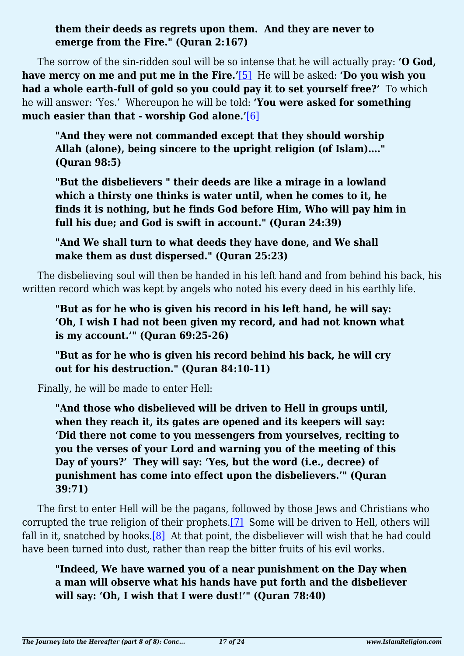**them their deeds as regrets upon them. And they are never to emerge from the Fire." (Quran 2:167)**

<span id="page-16-1"></span><span id="page-16-0"></span>The sorrow of the sin-ridden soul will be so intense that he will actually pray: **'O God, have mercy on me and put me in the Fire.'**[\[5\]](#page-17-4) He will be asked: **'Do you wish you had a whole earth-full of gold so you could pay it to set yourself free?'** To which he will answer: 'Yes.' Whereupon he will be told: **'You were asked for something much easier than that - worship God alone.'**[\[6\]](#page-17-5)

**"And they were not commanded except that they should worship Allah (alone), being sincere to the upright religion (of Islam)…." (Quran 98:5)**

**"But the disbelievers " their deeds are like a mirage in a lowland which a thirsty one thinks is water until, when he comes to it, he finds it is nothing, but he finds God before Him, Who will pay him in full his due; and God is swift in account." (Quran 24:39)**

**"And We shall turn to what deeds they have done, and We shall make them as dust dispersed." (Quran 25:23)**

The disbelieving soul will then be handed in his left hand and from behind his back, his written record which was kept by angels who noted his every deed in his earthly life.

**"But as for he who is given his record in his left hand, he will say: 'Oh, I wish I had not been given my record, and had not known what is my account.'" (Quran 69:25-26)**

**"But as for he who is given his record behind his back, he will cry out for his destruction." (Quran 84:10-11)**

Finally, he will be made to enter Hell:

**"And those who disbelieved will be driven to Hell in groups until, when they reach it, its gates are opened and its keepers will say: 'Did there not come to you messengers from yourselves, reciting to you the verses of your Lord and warning you of the meeting of this Day of yours?' They will say: 'Yes, but the word (i.e., decree) of punishment has come into effect upon the disbelievers.'" (Quran 39:71)**

<span id="page-16-3"></span><span id="page-16-2"></span>The first to enter Hell will be the pagans, followed by those Jews and Christians who corrupted the true religion of their prophets.[\[7\]](#page-17-6) Some will be driven to Hell, others will fall in it, snatched by hooks.<sup>[8]</sup> At that point, the disbeliever will wish that he had could have been turned into dust, rather than reap the bitter fruits of his evil works.

**"Indeed, We have warned you of a near punishment on the Day when a man will observe what his hands have put forth and the disbeliever will say: 'Oh, I wish that I were dust!'" (Quran 78:40)**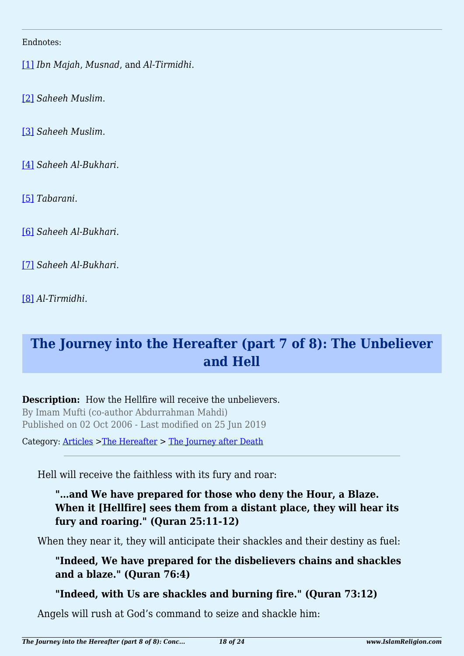#### <span id="page-17-0"></span>Endnotes:

[\[1\]](#page-14-0) *Ibn Majah*, *Musnad*, and *Al-Tirmidhi*.

<span id="page-17-1"></span>[\[2\]](#page-15-0) *Saheeh Muslim*.

<span id="page-17-2"></span>[\[3\]](#page-15-1) *Saheeh Muslim*.

<span id="page-17-3"></span>[\[4\]](#page-15-2) *Saheeh Al-Bukhari.*

<span id="page-17-4"></span>[\[5\]](#page-16-0) *Tabarani*.

<span id="page-17-5"></span>[\[6\]](#page-16-1) *Saheeh Al-Bukhari*.

<span id="page-17-6"></span>[\[7\]](#page-16-2) *Saheeh Al-Bukhari*.

<span id="page-17-7"></span>[\[8\]](#page-16-3) *Al-Tirmidhi.*

# **The Journey into the Hereafter (part 7 of 8): The Unbeliever and Hell**

**Description:** How the Hellfire will receive the unbelievers. By Imam Mufti (co-author Abdurrahman Mahdi) Published on 02 Oct 2006 - Last modified on 25 Jun 2019

Category: [Articles](http://www.islamreligion.com/articles/) >[The Hereafter](http://www.islamreligion.com/category/59/) > [The Journey after Death](http://www.islamreligion.com/category/62/)

Hell will receive the faithless with its fury and roar:

### **"…and We have prepared for those who deny the Hour, a Blaze. When it [Hellfire] sees them from a distant place, they will hear its fury and roaring." (Quran 25:11-12)**

When they near it, they will anticipate their shackles and their destiny as fuel:

**"Indeed, We have prepared for the disbelievers chains and shackles and a blaze." (Quran 76:4)**

**"Indeed, with Us are shackles and burning fire." (Quran 73:12)**

Angels will rush at God's command to seize and shackle him: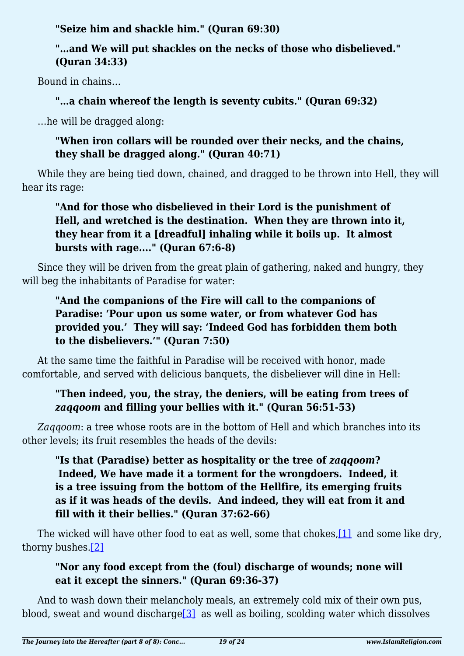**"Seize him and shackle him." (Quran 69:30)**

### **"…and We will put shackles on the necks of those who disbelieved." (Quran 34:33)**

Bound in chains…

### **"…a chain whereof the length is seventy cubits." (Quran 69:32)**

…he will be dragged along:

### **"When iron collars will be rounded over their necks, and the chains, they shall be dragged along." (Quran 40:71)**

While they are being tied down, chained, and dragged to be thrown into Hell, they will hear its rage:

### **"And for those who disbelieved in their Lord is the punishment of Hell, and wretched is the destination. When they are thrown into it, they hear from it a [dreadful] inhaling while it boils up. It almost bursts with rage...." (Quran 67:6-8)**

Since they will be driven from the great plain of gathering, naked and hungry, they will beg the inhabitants of Paradise for water:

### **"And the companions of the Fire will call to the companions of Paradise: 'Pour upon us some water, or from whatever God has provided you.' They will say: 'Indeed God has forbidden them both to the disbelievers.'" (Quran 7:50)**

At the same time the faithful in Paradise will be received with honor, made comfortable, and served with delicious banquets, the disbeliever will dine in Hell:

### **"Then indeed, you, the stray, the deniers, will be eating from trees of** *zaqqoom* **and filling your bellies with it." (Quran 56:51-53)**

*Zaqqoom*: a tree whose roots are in the bottom of Hell and which branches into its other levels; its fruit resembles the heads of the devils:

### **"Is that (Paradise) better as hospitality or the tree of** *zaqqoom***? Indeed, We have made it a torment for the wrongdoers. Indeed, it is a tree issuing from the bottom of the Hellfire, its emerging fruits as if it was heads of the devils. And indeed, they will eat from it and fill with it their bellies." (Quran 37:62-66)**

<span id="page-18-1"></span><span id="page-18-0"></span>The wicked will have other food to eat as well, some that chokes, [1] and some like dry, thorny bushes[.\[2\]](#page-21-1)

### **"Nor any food except from the (foul) discharge of wounds; none will eat it except the sinners." (Quran 69:36-37)**

<span id="page-18-2"></span>And to wash down their melancholy meals, an extremely cold mix of their own pus, blood, sweat and wound discharg[e\[3\]](#page-21-2) as well as boiling, scolding water which dissolves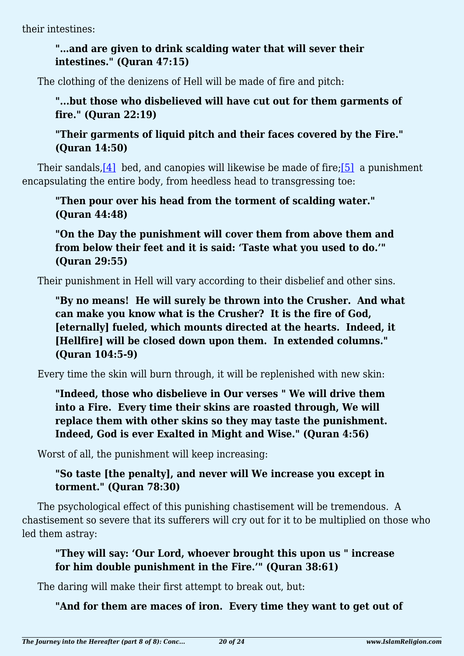their intestines:

### **"…and are given to drink scalding water that will sever their intestines." (Quran 47:15)**

The clothing of the denizens of Hell will be made of fire and pitch:

### **"...but those who disbelieved will have cut out for them garments of fire." (Quran 22:19)**

**"Their garments of liquid pitch and their faces covered by the Fire." (Quran 14:50)**

<span id="page-19-0"></span>Their sandals,[\[4\]](#page-21-3) bed, and canopies will likewise be made of fire;[\[5\]](#page-21-4) a punishment encapsulating the entire body, from heedless head to transgressing toe:

**"Then pour over his head from the torment of scalding water." (Quran 44:48)**

**"On the Day the punishment will cover them from above them and from below their feet and it is said: 'Taste what you used to do.'" (Quran 29:55)**

Their punishment in Hell will vary according to their disbelief and other sins.

**"By no means! He will surely be thrown into the Crusher. And what can make you know what is the Crusher? It is the fire of God, [eternally] fueled, which mounts directed at the hearts. Indeed, it [Hellfire] will be closed down upon them. In extended columns." (Quran 104:5-9)**

Every time the skin will burn through, it will be replenished with new skin:

**"Indeed, those who disbelieve in Our verses " We will drive them into a Fire. Every time their skins are roasted through, We will replace them with other skins so they may taste the punishment. Indeed, God is ever Exalted in Might and Wise." (Quran 4:56)**

Worst of all, the punishment will keep increasing:

### **"So taste [the penalty], and never will We increase you except in torment." (Quran 78:30)**

The psychological effect of this punishing chastisement will be tremendous. A chastisement so severe that its sufferers will cry out for it to be multiplied on those who led them astray:

### **"They will say: 'Our Lord, whoever brought this upon us " increase for him double punishment in the Fire.'" (Quran 38:61)**

The daring will make their first attempt to break out, but:

**"And for them are maces of iron. Every time they want to get out of**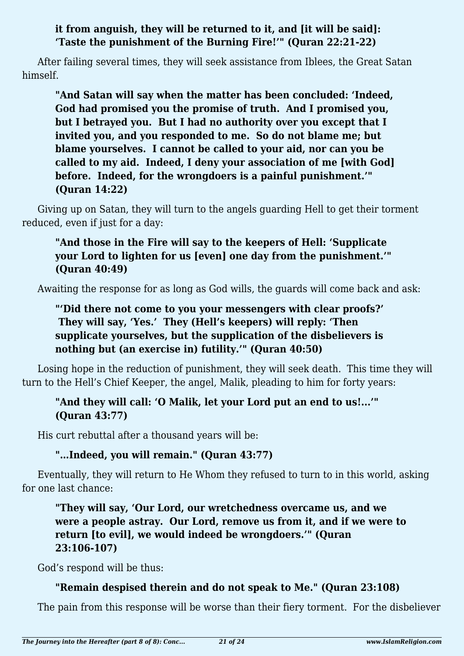#### **it from anguish, they will be returned to it, and [it will be said]: 'Taste the punishment of the Burning Fire!'" (Quran 22:21-22)**

After failing several times, they will seek assistance from Iblees, the Great Satan himself.

**"And Satan will say when the matter has been concluded: 'Indeed, God had promised you the promise of truth. And I promised you, but I betrayed you. But I had no authority over you except that I invited you, and you responded to me. So do not blame me; but blame yourselves. I cannot be called to your aid, nor can you be called to my aid. Indeed, I deny your association of me [with God] before. Indeed, for the wrongdoers is a painful punishment.'" (Quran 14:22)**

Giving up on Satan, they will turn to the angels guarding Hell to get their torment reduced, even if just for a day:

### **"And those in the Fire will say to the keepers of Hell: 'Supplicate your Lord to lighten for us [even] one day from the punishment.'" (Quran 40:49)**

Awaiting the response for as long as God wills, the guards will come back and ask:

### **"'Did there not come to you your messengers with clear proofs?' They will say, 'Yes.' They (Hell's keepers) will reply: 'Then supplicate yourselves, but the supplication of the disbelievers is nothing but (an exercise in) futility.'" (Quran 40:50)**

Losing hope in the reduction of punishment, they will seek death. This time they will turn to the Hell's Chief Keeper, the angel, Malik, pleading to him for forty years:

### **"And they will call: 'O Malik, let your Lord put an end to us!...'" (Quran 43:77)**

His curt rebuttal after a thousand years will be:

### **"…Indeed, you will remain." (Quran 43:77)**

Eventually, they will return to He Whom they refused to turn to in this world, asking for one last chance:

**"They will say, 'Our Lord, our wretchedness overcame us, and we were a people astray. Our Lord, remove us from it, and if we were to return [to evil], we would indeed be wrongdoers.'" (Quran 23:106-107)**

God's respond will be thus:

### **"Remain despised therein and do not speak to Me." (Quran 23:108)**

The pain from this response will be worse than their fiery torment. For the disbeliever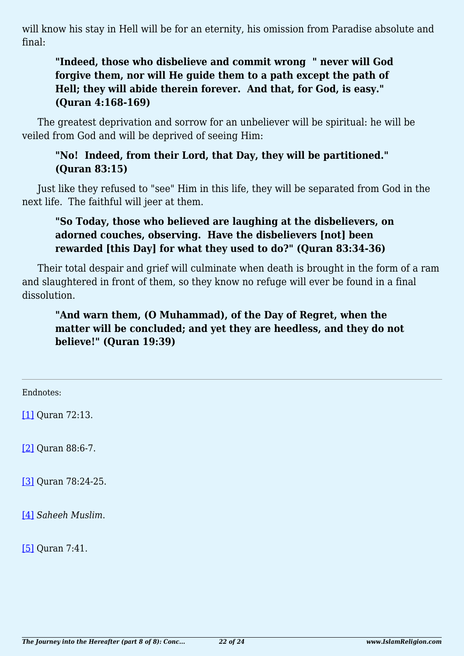will know his stay in Hell will be for an eternity, his omission from Paradise absolute and final:

### **"Indeed, those who disbelieve and commit wrong " never will God forgive them, nor will He guide them to a path except the path of Hell; they will abide therein forever. And that, for God, is easy." (Quran 4:168-169)**

The greatest deprivation and sorrow for an unbeliever will be spiritual: he will be veiled from God and will be deprived of seeing Him:

#### **"No! Indeed, from their Lord, that Day, they will be partitioned." (Quran 83:15)**

Just like they refused to "see" Him in this life, they will be separated from God in the next life. The faithful will jeer at them.

### **"So Today, those who believed are laughing at the disbelievers, on adorned couches, observing. Have the disbelievers [not] been rewarded [this Day] for what they used to do?" (Quran 83:34-36)**

Their total despair and grief will culminate when death is brought in the form of a ram and slaughtered in front of them, so they know no refuge will ever be found in a final dissolution.

### **"And warn them, (O Muhammad), of the Day of Regret, when the matter will be concluded; and yet they are heedless, and they do not believe!" (Quran 19:39)**

<span id="page-21-0"></span>Endnotes:

[\[1\]](#page-18-0) Quran 72:13.

<span id="page-21-1"></span>[\[2\]](#page-18-1) Quran 88:6-7.

<span id="page-21-2"></span>[\[3\]](#page-18-2) Quran 78:24-25.

<span id="page-21-3"></span>[\[4\]](#page-19-0) *Saheeh Muslim*.

<span id="page-21-4"></span>[\[5\]](#page-19-0) Quran 7:41.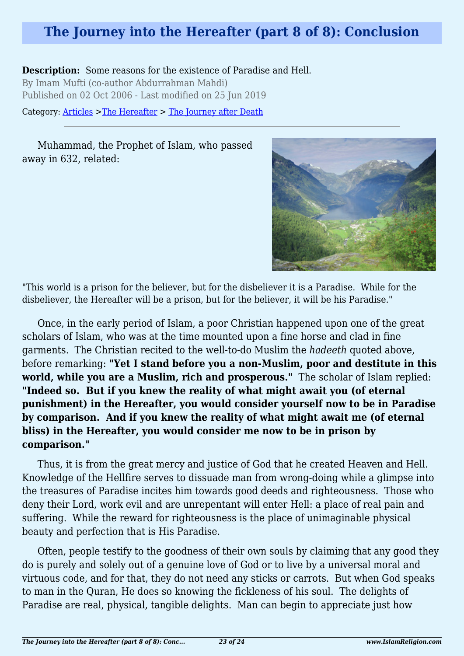### **The Journey into the Hereafter (part 8 of 8): Conclusion**

**Description:** Some reasons for the existence of Paradise and Hell. By Imam Mufti (co-author Abdurrahman Mahdi) Published on 02 Oct 2006 - Last modified on 25 Jun 2019

Category: [Articles](http://www.islamreligion.com/articles/) >[The Hereafter](http://www.islamreligion.com/category/59/) > [The Journey after Death](http://www.islamreligion.com/category/62/)

Muhammad, the Prophet of Islam, who passed away in 632, related:



"This world is a prison for the believer, but for the disbeliever it is a Paradise. While for the disbeliever, the Hereafter will be a prison, but for the believer, it will be his Paradise."

Once, in the early period of Islam, a poor Christian happened upon one of the great scholars of Islam, who was at the time mounted upon a fine horse and clad in fine garments. The Christian recited to the well-to-do Muslim the *hadeeth* quoted above, before remarking: **"Yet I stand before you a non-Muslim, poor and destitute in this world, while you are a Muslim, rich and prosperous."** The scholar of Islam replied: **"Indeed so. But if you knew the reality of what might await you (of eternal punishment) in the Hereafter, you would consider yourself now to be in Paradise by comparison. And if you knew the reality of what might await me (of eternal bliss) in the Hereafter, you would consider me now to be in prison by comparison."**

Thus, it is from the great mercy and justice of God that he created Heaven and Hell. Knowledge of the Hellfire serves to dissuade man from wrong-doing while a glimpse into the treasures of Paradise incites him towards good deeds and righteousness. Those who deny their Lord, work evil and are unrepentant will enter Hell: a place of real pain and suffering. While the reward for righteousness is the place of unimaginable physical beauty and perfection that is His Paradise.

Often, people testify to the goodness of their own souls by claiming that any good they do is purely and solely out of a genuine love of God or to live by a universal moral and virtuous code, and for that, they do not need any sticks or carrots. But when God speaks to man in the Quran, He does so knowing the fickleness of his soul. The delights of Paradise are real, physical, tangible delights. Man can begin to appreciate just how